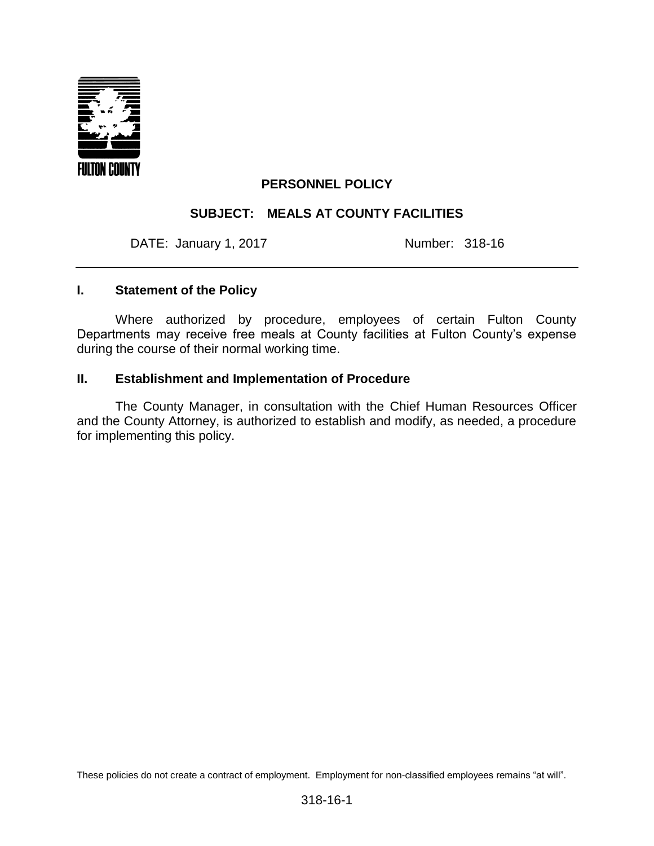

## **PERSONNEL POLICY**

## **SUBJECT: MEALS AT COUNTY FACILITIES**

DATE: January 1, 2017 Mumber: 318-16

### **I. Statement of the Policy**

Where authorized by procedure, employees of certain Fulton County Departments may receive free meals at County facilities at Fulton County's expense during the course of their normal working time.

#### **II. Establishment and Implementation of Procedure**

The County Manager, in consultation with the Chief Human Resources Officer and the County Attorney, is authorized to establish and modify, as needed, a procedure for implementing this policy.

These policies do not create a contract of employment. Employment for non-classified employees remains "at will".